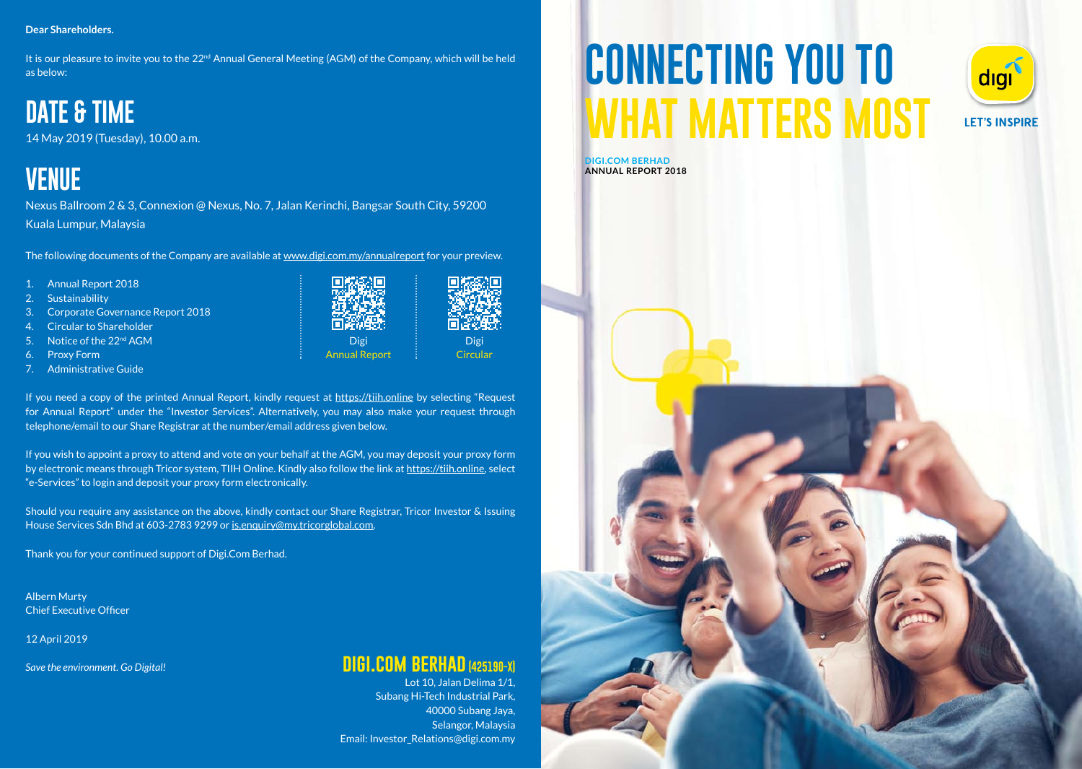#### **Dear Shareholders.**

It is our pleasure to invite you to the 22nd Annual General Meeting (AGM) of the Company, which will be held as below:

### **DATE & TIME**

14 May 2019 (Tuesday), 10.00 a.m.

## **VENUE**

Nexus Ballroom 2 & 3, Connexion @ Nexus, No. 7, Jalan Kerinchi, Bangsar South City, 59200 Kuala Lumpur, Malaysia

The following documents of the Company are available at www.digi.com.my/annualreport for your preview.

- 1. Annual Report 2018
- 2. Sustainability
- 3. Corporate Governance Report 2018
- 4. Circular to Shareholder
- 5. Notice of the 22nd AGM
- 6. Proxy Form
- 7. Administrative Guide

If you need a copy of the printed Annual Report, kindly request at https://tiih.online by selecting "Request for Annual Report" under the "Investor Services". Alternatively, you may also make your request through telephone/email to our Share Registrar at the number/email address given below.

Digi Annual Report

Digi **Circular** 

If you wish to appoint a proxy to attend and vote on your behalf at the AGM, you may deposit your proxy form by electronic means through Tricor system, TIIH Online. Kindly also follow the link at https://tiih.online, select "e-Services" to login and deposit your proxy form electronically.

Should you require any assistance on the above, kindly contact our Share Registrar, Tricor Investor & Issuing House Services Sdn Bhd at 603-2783 9299 or is.enquiry@my.tricorglobal.com.

Thank you for your continued support of Digi.Com Berhad.

Albern Murty Chief Executive Officer

12 April 2019

*Save the environment. Go Digital!*

#### **digi.com berhad (425190-X)**

Lot 10, Jalan Delima 1/1, Subang Hi-Tech Industrial Park, 40000 Subang Jaya, Selangor, Malaysia Email: Investor\_Relations@digi.com.my

# **CONNECTING YOU TO WHAT MATTERS MOST**



**DIGI.COM BERHAD ANNUAL REPORT 2018**